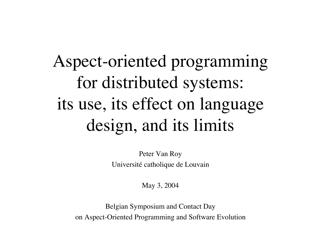# Aspect-oriented programming for distributed systems: its use, its effect on language design, and its limits

Peter Van Roy Université catholique de Louvain

May 3, 2004

Belgian Symposium and Contact Day on Aspect-Oriented Programming and Software Evolution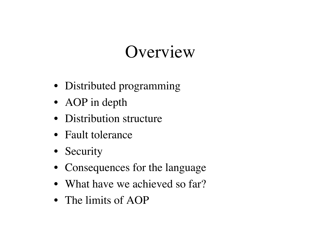#### Overview

- Distributed programming
- AOP in depth
- Distribution structure
- Fault tolerance
- Security
- Consequences for the language
- What have we achieved so far?
- The limits of AOP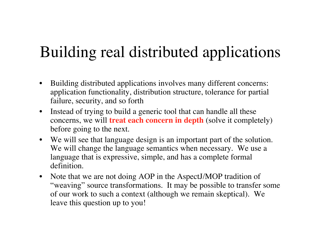#### Building real distributed applications

- Building distributed applications involves many different concerns: application functionality, distribution structure, tolerance for partial failure, security, and so forth
- Instead of trying to build a generic tool that can handle all these concerns, we will **treat each concern in depth** (solve it completely) before going to the next.
- We will see that language design is an important part of the solution. We will change the language semantics when necessary. We use a language that is expressive, simple, and has a complete formal definition.
- Note that we are not doing AOP in the AspectJ/MOP tradition of "weaving" source transformations. It may be possible to transfer some of our work to such a context (although we remain skeptical). We leave this question up to you!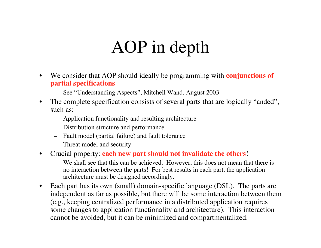#### AOP in depth

- We consider that AOP should ideally be programming with **conjunctions of partial specifications**
	- See "Understanding Aspects", Mitchell Wand, August 2003
- The complete specification consists of several parts that are logically "anded", such as:
	- Application functionality and resulting architecture
	- Distribution structure and performance
	- Fault model (partial failure) and fault tolerance
	- Threat model and security
- Crucial property: **each new part should not invalidate the others**!
	- We shall see that this can be achieved. However, this does not mean that there is no interaction between the parts! For best results in each part, the application architecture must be designed accordingly.
- Each part has its own (small) domain-specific language (DSL). The parts are independent as far as possible, but there will be some interaction between them (e.g., keeping centralized performance in a distributed application requires some changes to application functionality and architecture). This interaction cannot be avoided, but it can be minimized and compartmentalized.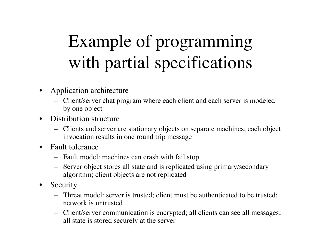# Example of programming with partial specifications

- Application architecture
	- Client/server chat program where each client and each server is modeled by one object
- Distribution structure
	- Clients and server are stationary objects on separate machines; each object invocation results in one round trip message
- Fault tolerance
	- Fault model: machines can crash with fail stop
	- Server object stores all state and is replicated using primary/secondary algorithm; client objects are not replicated
- Security
	- Threat model: server is trusted; client must be authenticated to be trusted; network is untrusted
	- Client/server communication is encrypted; all clients can see all messages; all state is stored securely at the server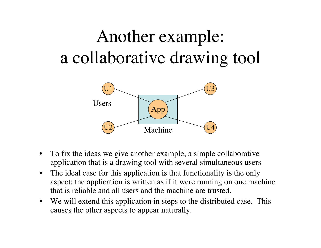# Another example: a collaborative drawing tool



- To fix the ideas we give another example, a simple collaborative application that is a drawing tool with several simultaneous users
- The ideal case for this application is that functionality is the only aspect: the application is written as if it were running on one machine that is reliable and all users and the machine are trusted.
- We will extend this application in steps to the distributed case. This causes the other aspects to appear naturally.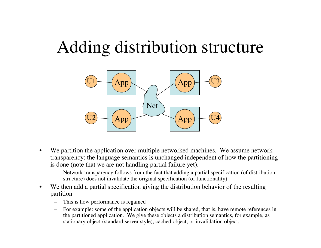#### Adding distribution structure



- We partition the application over multiple networked machines. We assume network transparency: the language semantics is unchanged independent of how the partitioning is done (note that we are not handling partial failure yet).
	- Network transparency follows from the fact that adding a partial specification (of distribution structure) does not invalidate the original specification (of functionality)
- We then add a partial specification giving the distribution behavior of the resulting partition
	- This is how performance is regained
	- For example: some of the application objects will be shared, that is, have remote references in the partitioned application. We give these objects a distribution semantics, for example, as stationary object (standard server style), cached object, or invalidation object.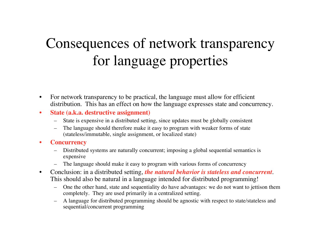#### Consequences of network transparency for language properties

- For network transparency to be practical, the language must allow for efficient distribution. This has an effect on how the language expresses state and concurrency.
- **State (a.k.a. destructive assignment)**
	- State is expensive in a distributed setting, since updates must be globally consistent
	- The language should therefore make it easy to program with weaker forms of state (stateless/immutable, single assignment, or localized state)
- **Concurrency**
	- Distributed systems are naturally concurrent; imposing a global sequential semantics is expensive
	- The language should make it easy to program with various forms of concurrency
- Conclusion: in a distributed setting, *the natural behavior is stateless and concurrent*. This should also be natural in a language intended for distributed programming!
	- One the other hand, state and sequentiality do have advantages: we do not want to jettison them completely. They are used primarily in a centralized setting.
	- A language for distributed programming should be agnostic with respect to state/stateless and sequential/concurrent programming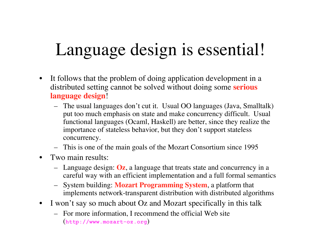#### Language design is essential!

- It follows that the problem of doing application development in a distributed setting cannot be solved without doing some **serious language design**!
	- The usual languages don't cut it. Usual OO languages (Java, Smalltalk) put too much emphasis on state and make concurrency difficult. Usual functional languages (Ocaml, Haskell) are better, since they realize the importance of stateless behavior, but they don't support stateless concurrency.
	- This is one of the main goals of the Mozart Consortium since 1995
- Two main results:
	- Language design: **Oz**, a language that treats state and concurrency in a careful way with an efficient implementation and a full formal semantics
	- System building: **Mozart Programming System**, a platform that implements network-transparent distribution with distributed algorithms
- I won't say so much about Oz and Mozart specifically in this talk
	- For more information, I recommend the official Web site (**http://www.mozart-oz.org**)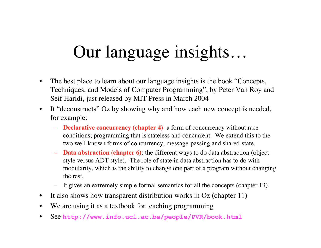# Our language insights…

- The best place to learn about our language insights is the book "Concepts, Techniques, and Models of Computer Programming", by Peter Van Roy and Seif Haridi, just released by MIT Press in March 2004
- It "deconstructs" Oz by showing why and how each new concept is needed, for example:
	- **Declarative concurrency (chapter 4)**: a form of concurrency without race conditions; programming that is stateless and concurrent. We extend this to the two well-known forms of concurrency, message-passing and shared-state.
	- **Data abstraction (chapter 6)**: the different ways to do data abstraction (object style versus ADT style). The role of state in data abstraction has to do with modularity, which is the ability to change one part of a program without changing the rest.
	- It gives an extremely simple formal semantics for all the concepts (chapter 13)
- It also shows how transparent distribution works in Oz (chapter 11)
- We are using it as a textbook for teaching programming
- See **http://www.info.ucl.ac.be/people/PVR/book.html**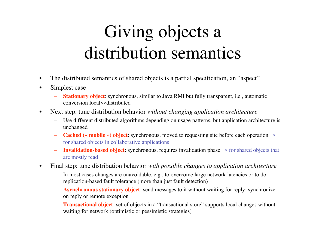## Giving objects a distribution semantics

- The distributed semantics of shared objects is a partial specification, an "aspect"
- Simplest case
	- **Stationary object**: synchronous, similar to Java RMI but fully transparent, i.e., automatic conversion local↔distributed
- Next step: tune distribution behavior *without changing application architecture*
	- Use different distributed algorithms depending on usage patterns, but application architecture is unchanged
	- **Cached (« mobile ») object**: synchronous, moved to requesting site before each operation → for shared objects in collaborative applications
	- **Invalidation-based object**: synchronous, requires invalidation phase → for shared objects that are mostly read
- Final step: tune distribution behavior *with possible changes to application architecture*
	- In most cases changes are unavoidable, e.g., to overcome large network latencies or to do replication-based fault tolerance (more than just fault detection)
	- **Asynchronous stationary object**: send messages to it without waiting for reply; synchronize on reply or remote exception
	- **Transactional object**: set of objects in a "transactional store" supports local changes without waiting for network (optimistic or pessimistic strategies)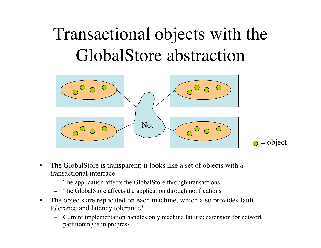# Transactional objects with the GlobalStore abstraction



- The GlobalStore is transparent; it looks like a set of objects with a transactional interface
	- The application affects the GlobalStore through transactions
	- The GlobalStore affects the application through notifications
- The objects are replicated on each machine, which also provides fault tolerance and latency tolerance!
	- Current implementation handles only machine failure; extension for network partitioning is in progress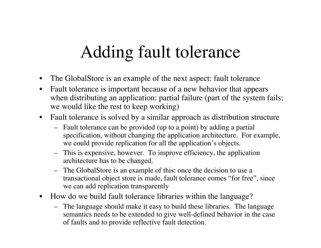# Adding fault tolerance

- The GlobalStore is an example of the next aspect: fault tolerance
- Fault tolerance is important because of a new behavior that appears when distributing an application: partial failure (part of the system fails; we would like the rest to keep working)
- Fault tolerance is solved by a similar approach as distribution structure
	- Fault tolerance can be provided (up to a point) by adding a partial specification, without changing the application architecture. For example, we could provide replication for all the application's objects.
	- This is expensive, however. To improve efficiency, the application architecture has to be changed.
	- The GlobalStore is an example of this: once the decision to use a transactional object store is made, fault tolerance comes "for free", since we can add replication transparently
- How do we build fault tolerance libraries within the language?
	- The language should make it easy to build these libraries. The language semantics needs to be extended to give well-defined behavior in the case of faults and to provide reflective fault detection.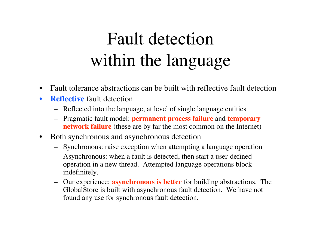## Fault detection within the language

- Fault tolerance abstractions can be built with reflective fault detection
- **Reflective** fault detection
	- Reflected into the language, at level of single language entities
	- Pragmatic fault model: **permanent process failure** and **temporary network failure** (these are by far the most common on the Internet)
- Both synchronous and asynchronous detection
	- Synchronous: raise exception when attempting a language operation
	- Asynchronous: when a fault is detected, then start a user-defined operation in a new thread. Attempted language operations block indefinitely.
	- Our experience: **asynchronous is better** for building abstractions. The GlobalStore is built with asynchronous fault detection. We have not found any use for synchronous fault detection.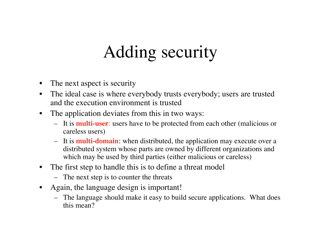## Adding security

- The next aspect is security
- The ideal case is where everybody trusts everybody; users are trusted and the execution environment is trusted
- The application deviates from this in two ways:
	- It is **multi-user**: users have to be protected from each other (malicious or careless users)
	- It is **multi-domain**: when distributed, the application may execute over a distributed system whose parts are owned by different organizations and which may be used by third parties (either malicious or careless)
- The first step to handle this is to define a threat model
	- The next step is to counter the threats
- Again, the language design is important!
	- The language should make it easy to build secure applications. What does this mean?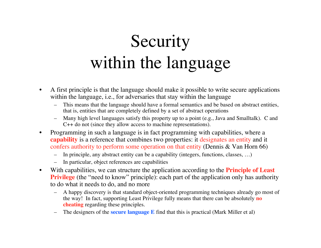# Security within the language

- A first principle is that the language should make it possible to write secure applications within the language, i.e., for adversaries that stay within the language
	- This means that the language should have a formal semantics and be based on abstract entities, that is, entities that are completely defined by a set of abstract operations
	- Many high level languages satisfy this property up to a point (e.g., Java and Smalltalk). C and C++ do not (since they allow access to machine representations).
- Programming in such a language is in fact programming with capabilities, where a **capability** is a reference that combines two properties: it designates an entity and it confers authority to perform some operation on that entity (Dennis & Van Horn 66)
	- In principle, any abstract entity can be a capability (integers, functions, classes, …)
	- In particular, object references are capabilities
- With capabilities, we can structure the application according to the **Principle of Least Privilege** (the "need to know" principle): each part of the application only has authority to do what it needs to do, and no more
	- A happy discovery is that standard object-oriented programming techniques already go most of the way! In fact, supporting Least Privilege fully means that there can be absolutely **no cheating** regarding these principles.
	- The designers of the **secure language E** find that this is practical (Mark Miller et al)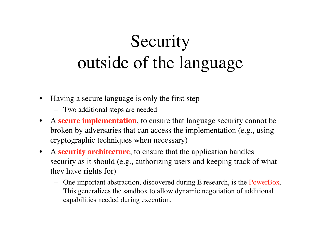# **Security** outside of the language

- Having a secure language is only the first step
	- Two additional steps are needed
- A **secure implementation**, to ensure that language security cannot be broken by adversaries that can access the implementation (e.g., using cryptographic techniques when necessary)
- A **security architecture**, to ensure that the application handles security as it should (e.g., authorizing users and keeping track of what they have rights for)
	- One important abstraction, discovered during E research, is the PowerBox. This generalizes the sandbox to allow dynamic negotiation of additional capabilities needed during execution.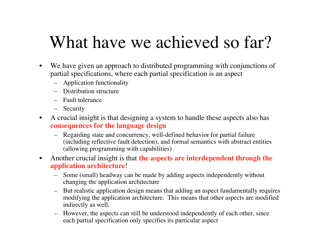#### What have we achieved so far?

- We have given an approach to distributed programming with conjunctions of partial specifications, where each partial specification is an aspect
	- Application functionality
	- Distribution structure
	- Fault tolerance
	- Security
- A crucial insight is that designing a system to handle these aspects also has **consequences for the language design**
	- Regarding state and concurrency, well-defined behavior for partial failure (including reflective fault detection), and formal semantics with abstract entities (allowing programming with capabilities)
- Another crucial insight is that **the aspects are interdependent through the application architecture**!
	- Some (small) headway can be made by adding aspects independently without changing the application architecture
	- But realistic application design means that adding an aspect fundamentally requires modifying the application architecture. This means that other aspects are modified indirectly as well.
	- However, the aspects can still be understood independently of each other, since each partial specification only specifies its particular aspect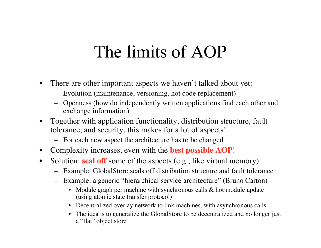#### The limits of AOP

- There are other important aspects we haven't talked about yet:
	- Evolution (maintenance, versioning, hot code replacement)
	- Openness (how do independently written applications find each other and exchange information)
- Together with application functionality, distribution structure, fault tolerance, and security, this makes for a lot of aspects!
	- For each new aspect the architecture has to be changed
- Complexity increases, even with the **best possible AOP**!
- Solution: **seal off** some of the aspects (e.g., like virtual memory)
	- Example: GlobalStore seals off distribution structure and fault tolerance
	- Example: a generic "hierarchical service architecture" (Bruno Carton)
		- Module graph per machine with synchronous calls & hot module update (using atomic state transfer protocol)
		- Decentralized overlay network to link machines, with asynchronous calls
		- The idea is to generalize the GlobalStore to be decentralized and no longer just a "flat" object store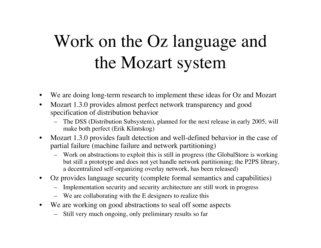#### Work on the Oz language and the Mozart system

- We are doing long-term research to implement these ideas for Oz and Mozart
- Mozart 1.3.0 provides almost perfect network transparency and good specification of distribution behavior
	- The DSS (Distribution Subsystem), planned for the next release in early 2005, will make both perfect (Erik Klintskog)
- Mozart 1.3.0 provides fault detection and well-defined behavior in the case of partial failure (machine failure and network partitioning)
	- Work on abstractions to exploit this is still in progress (the GlobalStore is working but still a prototype and does not yet handle network partitioning; the P2PS library, a decentralized self-organizing overlay network, has been released)
- Oz provides language security (complete formal semantics and capabilities)
	- Implementation security and security architecture are still work in progress
	- We are collaborating with the E designers to realize this
- We are working on good abstractions to seal off some aspects
	- Still very much ongoing, only preliminary results so far